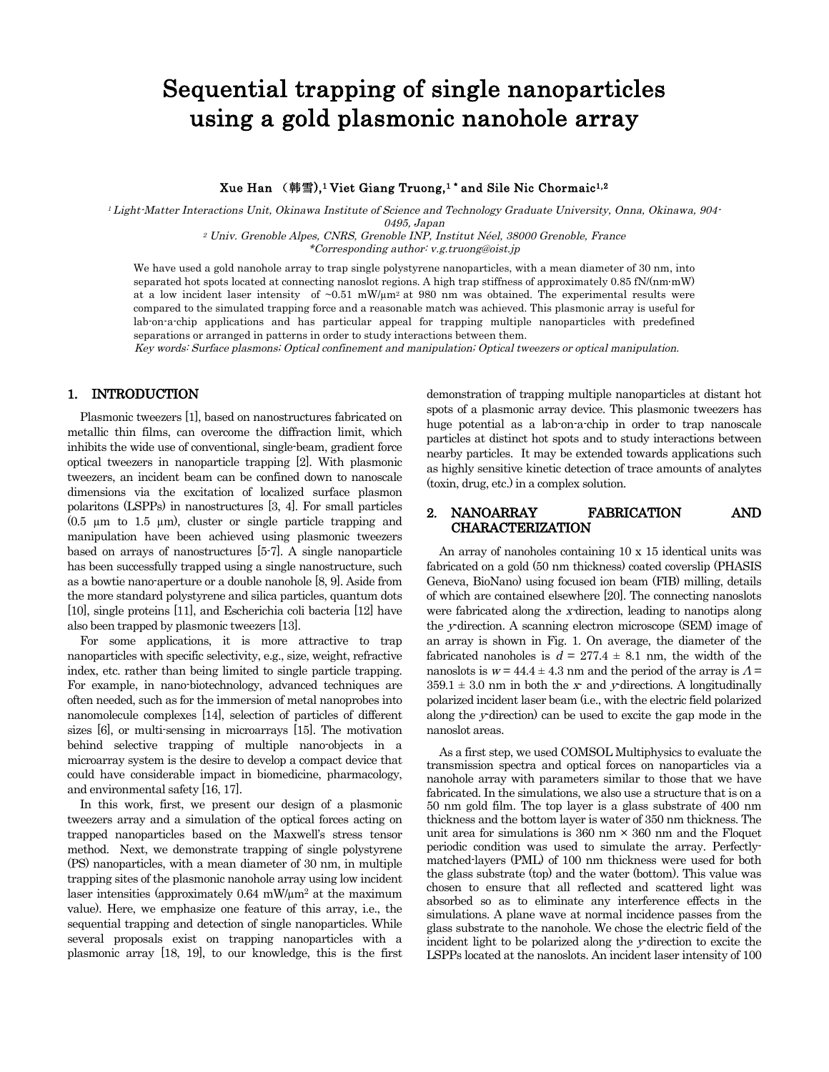# Sequential trapping of single nanoparticles using a gold plasmonic nanohole array

### Xue Han (韩雪),<sup>1</sup> Viet Giang Truong,<sup>1</sup> \* and Sile Nic Chormaic<sup>1,2</sup>

<sup>1</sup> Light-Matter Interactions Unit, Okinawa Institute of Science and Technology Graduate University, Onna, Okinawa, 904-

0495, Japan <sup>2</sup> Univ. Grenoble Alpes, CNRS, Grenoble INP, Institut Néel, 38000 Grenoble, France

\*Corresponding author: v.g.truong@oist.jp

We have used a gold nanohole array to trap single polystyrene nanoparticles, with a mean diameter of 30 nm, into separated hot spots located at connecting nanoslot regions. A high trap stiffness of approximately 0.85 fN/(nm∙mW) at a low incident laser intensity of  $\sim 0.51$  mW/ $\mu$ m<sup>2</sup> at 980 nm was obtained. The experimental results were compared to the simulated trapping force and a reasonable match was achieved. This plasmonic array is useful for lab-on-a-chip applications and has particular appeal for trapping multiple nanoparticles with predefined separations or arranged in patterns in order to study interactions between them.

Key words: Surface plasmons; Optical confinement and manipulation; Optical tweezers or optical manipulation.

# 1. INTRODUCTION

Plasmonic tweezers [1], based on nanostructures fabricated on metallic thin films, can overcome the diffraction limit, which inhibits the wide use of conventional, single-beam, gradient force optical tweezers in nanoparticle trapping [2]. With plasmonic tweezers, an incident beam can be confined down to nanoscale dimensions via the excitation of localized surface plasmon polaritons (LSPPs) in nanostructures [3, 4]. For small particles  $(0.5 \mu m)$  to 1.5  $\mu$ m), cluster or single particle trapping and manipulation have been achieved using plasmonic tweezers based on arrays of nanostructures [5-7]. A single nanoparticle has been successfully trapped using a single nanostructure, such as a bowtie nano-aperture or a double nanohole [8, 9]. Aside from the more standard polystyrene and silica particles, quantum dots [10], single proteins [11], and Escherichia coli bacteria [12] have also been trapped by plasmonic tweezers [13].

For some applications, it is more attractive to trap nanoparticles with specific selectivity, e.g., size, weight, refractive index, etc. rather than being limited to single particle trapping. For example, in nano-biotechnology, advanced techniques are often needed, such as for the immersion of metal nanoprobes into nanomolecule complexes [14], selection of particles of different sizes [6], or multi-sensing in microarrays [15]. The motivation behind selective trapping of multiple nano-objects in a microarray system is the desire to develop a compact device that could have considerable impact in biomedicine, pharmacology, and environmental safety [16, 17].

In this work, first, we present our design of a plasmonic tweezers array and a simulation of the optical forces acting on trapped nanoparticles based on the Maxwell's stress tensor method. Next, we demonstrate trapping of single polystyrene (PS) nanoparticles, with a mean diameter of 30 nm, in multiple trapping sites of the plasmonic nanohole array using low incident laser intensities (approximately 0.64 mW/µm2 at the maximum value). Here, we emphasize one feature of this array, i.e., the sequential trapping and detection of single nanoparticles. While several proposals exist on trapping nanoparticles with a plasmonic array [18, 19], to our knowledge, this is the first demonstration of trapping multiple nanoparticles at distant hot spots of a plasmonic array device. This plasmonic tweezers has huge potential as a lab-on-a-chip in order to trap nanoscale particles at distinct hot spots and to study interactions between nearby particles. It may be extended towards applications such as highly sensitive kinetic detection of trace amounts of analytes (toxin, drug, etc.) in a complex solution.

### 2. NANOARRAY FABRICATION AND CHARACTERIZATION

An array of nanoholes containing 10 x 15 identical units was fabricated on a gold (50 nm thickness) coated coverslip (PHASIS Geneva, BioNano) using focused ion beam (FIB) milling, details of which are contained elsewhere [20]. The connecting nanoslots were fabricated along the x-direction, leading to nanotips along the <sup>y</sup>-direction. A scanning electron microscope (SEM) image of an array is shown in Fig. 1. On average, the diameter of the fabricated nanoholes is  $d = 277.4 \pm 8.1$  nm, the width of the nanoslots is  $w = 44.4 \pm 4.3$  nm and the period of the array is  $\Lambda =$  $359.1 \pm 3.0$  nm in both the x- and y-directions. A longitudinally polarized incident laser beam (i.e., with the electric field polarized along the y-direction) can be used to excite the gap mode in the nanoslot areas.

As a first step, we used COMSOL Multiphysics to evaluate the transmission spectra and optical forces on nanoparticles via a nanohole array with parameters similar to those that we have fabricated. In the simulations, we also use a structure that is on a 50 nm gold film. The top layer is a glass substrate of 400 nm thickness and the bottom layer is water of 350 nm thickness. The unit area for simulations is  $360 \text{ nm} \times 360 \text{ nm}$  and the Floquet periodic condition was used to simulate the array. Perfectlymatched-layers (PML) of 100 nm thickness were used for both the glass substrate (top) and the water (bottom). This value was chosen to ensure that all reflected and scattered light was absorbed so as to eliminate any interference effects in the simulations. A plane wave at normal incidence passes from the glass substrate to the nanohole. We chose the electric field of the incident light to be polarized along the y-direction to excite the LSPPs located at the nanoslots. An incident laser intensity of 100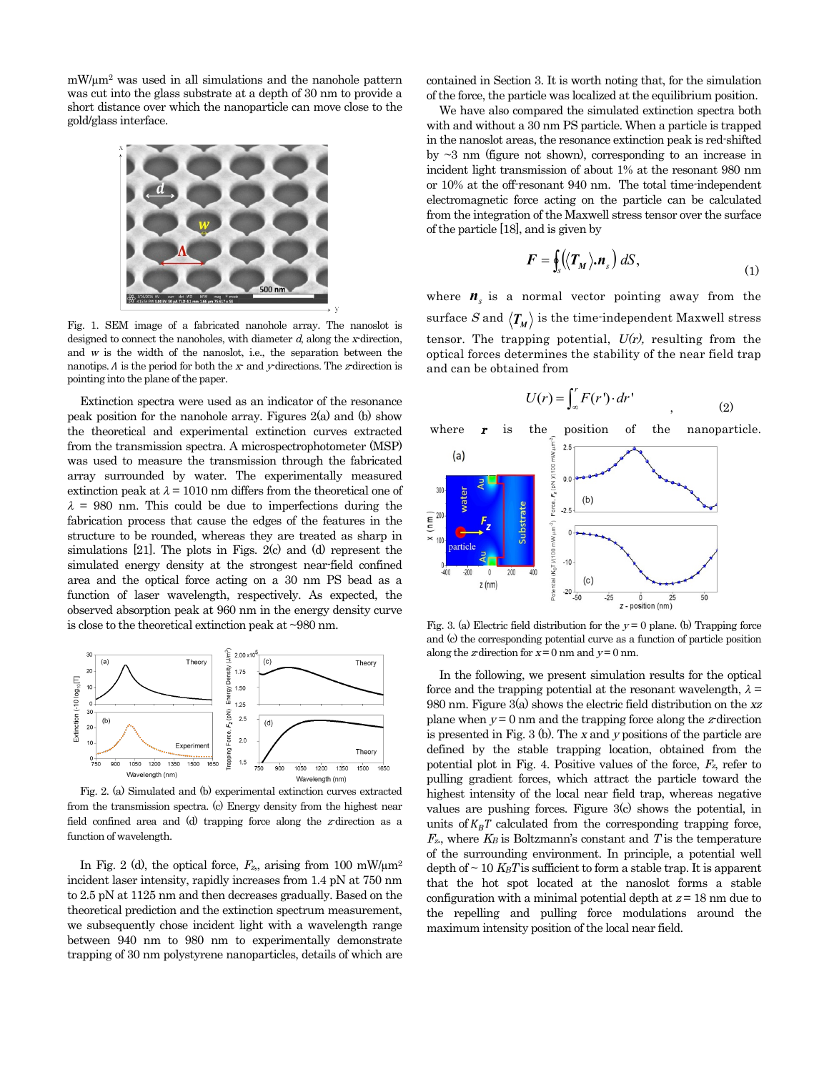mW/µm2 was used in all simulations and the nanohole pattern was cut into the glass substrate at a depth of 30 nm to provide a short distance over which the nanoparticle can move close to the gold/glass interface.



Fig. 1. SEM image of a fabricated nanohole array. The nanoslot is designed to connect the nanoholes, with diameter  $d$ , along the x-direction, and <sup>w</sup> is the width of the nanoslot, i.e., the separation between the nanotips.  $\Lambda$  is the period for both the  $x$ - and  $y$ -directions. The  $z$ -direction is pointing into the plane of the paper.

Extinction spectra were used as an indicator of the resonance peak position for the nanohole array. Figures 2(a) and (b) show the theoretical and experimental extinction curves extracted from the transmission spectra. A microspectrophotometer (MSP) was used to measure the transmission through the fabricated array surrounded by water. The experimentally measured extinction peak at  $\lambda = 1010$  nm differs from the theoretical one of  $\lambda = 980$  nm. This could be due to imperfections during the fabrication process that cause the edges of the features in the structure to be rounded, whereas they are treated as sharp in simulations [21]. The plots in Figs. 2(c) and (d) represent the simulated energy density at the strongest near-field confined area and the optical force acting on a 30 nm PS bead as a function of laser wavelength, respectively. As expected, the observed absorption peak at 960 nm in the energy density curve is close to the theoretical extinction peak at ~980 nm.



Fig. 2. (a) Simulated and (b) experimental extinction curves extracted from the transmission spectra. (c) Energy density from the highest near field confined area and (d) trapping force along the  $z$ -direction as a function of wavelength.

In Fig. 2 (d), the optical force,  $F_{z}$ , arising from 100 mW/ $\mu$ m<sup>2</sup> incident laser intensity, rapidly increases from 1.4 pN at 750 nm to 2.5 pN at 1125 nm and then decreases gradually. Based on the theoretical prediction and the extinction spectrum measurement, we subsequently chose incident light with a wavelength range between 940 nm to 980 nm to experimentally demonstrate trapping of 30 nm polystyrene nanoparticles, details of which are contained in Section 3. It is worth noting that, for the simulation of the force, the particle was localized at the equilibrium position.

We have also compared the simulated extinction spectra both with and without a 30 nm PS particle. When a particle is trapped in the nanoslot areas, the resonance extinction peak is red-shifted by ~3 nm (figure not shown), corresponding to an increase in incident light transmission of about 1% at the resonant 980 nm or 10% at the off-resonant 940 nm. The total time-independent electromagnetic force acting on the particle can be calculated from the integration of the Maxwell stress tensor over the surface of the particle [18], and is given by

$$
\boldsymbol{F} = \oint_s (\langle \boldsymbol{T}_M \rangle \boldsymbol{n}_s) \, dS, \tag{1}
$$

where  $n<sub>s</sub>$  is a normal vector pointing away from the surface S and  $\langle T_M \rangle$  is the time-independent Maxwell stress tensor. The trapping potential,  $U(r)$ , resulting from the optical forces determines the stability of the near field trap and can be obtained from

$$
U(r) = \int_{-\infty}^{r} F(r') \cdot dr'
$$
 (2)



Fig. 3. (a) Electric field distribution for the  $y = 0$  plane. (b) Trapping force and (c) the corresponding potential curve as a function of particle position along the z-direction for  $x=0$  nm and  $y=0$  nm.

In the following, we present simulation results for the optical force and the trapping potential at the resonant wavelength,  $\lambda =$ 980 nm. Figure 3(a) shows the electric field distribution on the xz plane when  $y = 0$  nm and the trapping force along the z-direction is presented in Fig. 3 (b). The <sup>x</sup> and <sup>y</sup> positions of the particle are defined by the stable trapping location, obtained from the potential plot in Fig. 4. Positive values of the force,  $F_{z}$ , refer to pulling gradient forces, which attract the particle toward the highest intensity of the local near field trap, whereas negative values are pushing forces. Figure 3(c) shows the potential, in units of  $K_B T$  calculated from the corresponding trapping force,  $F<sub>z</sub>$ , where  $K<sub>B</sub>$  is Boltzmann's constant and T is the temperature of the surrounding environment. In principle, a potential well depth of  $\sim 10$  K<sub>B</sub>T is sufficient to form a stable trap. It is apparent that the hot spot located at the nanoslot forms a stable configuration with a minimal potential depth at  $z = 18$  nm due to the repelling and pulling force modulations around the maximum intensity position of the local near field.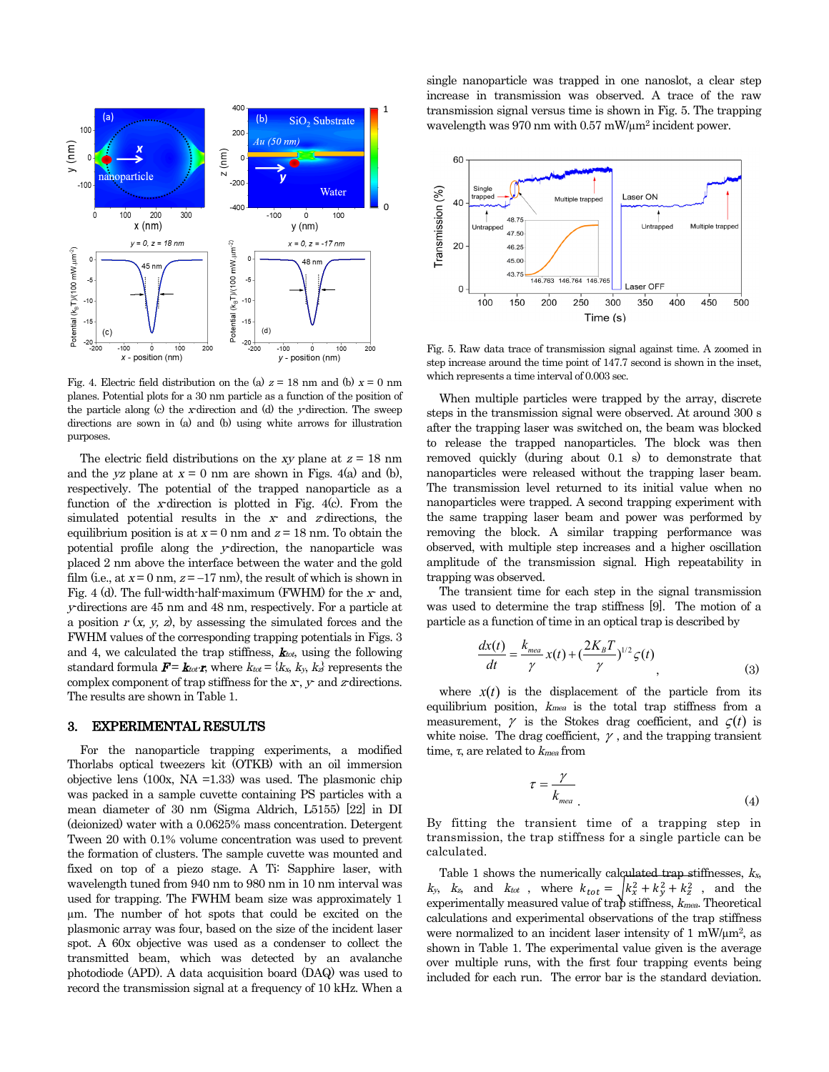

Fig. 4. Electric field distribution on the (a)  $z = 18$  nm and (b)  $x = 0$  nm planes. Potential plots for a 30 nm particle as a function of the position of the particle along (c) the x-direction and (d) the y-direction. The sweep directions are sown in (a) and (b) using white arrows for illustration purposes.

The electric field distributions on the xy plane at  $z = 18$  nm and the yz plane at  $x = 0$  nm are shown in Figs. 4(a) and (b), respectively. The potential of the trapped nanoparticle as a function of the <sup>x</sup>-direction is plotted in Fig. 4(c). From the simulated potential results in the  $x$  and  $z$ -directions, the equilibrium position is at  $x = 0$  nm and  $z = 18$  nm. To obtain the potential profile along the <sup>y</sup>-direction, the nanoparticle was placed 2 nm above the interface between the water and the gold film (i.e., at  $x = 0$  nm,  $z = -17$  nm), the result of which is shown in Fig. 4 (d). The full-width-half-maximum (FWHM) for the  $x$ - and, <sup>y</sup>-directions are 45 nm and 48 nm, respectively. For a particle at a position  $r(x, y, z)$ , by assessing the simulated forces and the FWHM values of the corresponding trapping potentials in Figs. 3 and 4, we calculated the trap stiffness,  $\mathbf{k}_{tot}$ , using the following standard formula  $\mathbf{F} = \mathbf{k}_{tot} \cdot \mathbf{r}$ , where  $k_{tot} = \{k_x, k_y, k_z\}$  represents the complex component of trap stiffness for the  $x, y$ - and  $z$ -directions. The results are shown in Table 1.

#### 3. EXPERIMENTAL RESULTS

For the nanoparticle trapping experiments, a modified Thorlabs optical tweezers kit (OTKB) with an oil immersion objective lens (100x, NA =1.33) was used. The plasmonic chip was packed in a sample cuvette containing PS particles with a mean diameter of 30 nm (Sigma Aldrich, L5155) [22] in DI (deionized) water with a 0.0625% mass concentration. Detergent Tween 20 with 0.1% volume concentration was used to prevent the formation of clusters. The sample cuvette was mounted and fixed on top of a piezo stage. A Ti: Sapphire laser, with wavelength tuned from 940 nm to 980 nm in 10 nm interval was used for trapping. The FWHM beam size was approximately 1 µm. The number of hot spots that could be excited on the plasmonic array was four, based on the size of the incident laser spot. A 60x objective was used as a condenser to collect the transmitted beam, which was detected by an avalanche photodiode (APD). A data acquisition board (DAQ) was used to record the transmission signal at a frequency of 10 kHz. When a single nanoparticle was trapped in one nanoslot, a clear step increase in transmission was observed. A trace of the raw transmission signal versus time is shown in Fig. 5. The trapping wavelength was 970 nm with 0.57 mW/µm2 incident power.



Fig. 5. Raw data trace of transmission signal against time. A zoomed in step increase around the time point of 147.7 second is shown in the inset, which represents a time interval of 0.003 sec.

When multiple particles were trapped by the array, discrete steps in the transmission signal were observed. At around 300 s after the trapping laser was switched on, the beam was blocked to release the trapped nanoparticles. The block was then removed quickly (during about 0.1 s) to demonstrate that nanoparticles were released without the trapping laser beam. The transmission level returned to its initial value when no nanoparticles were trapped. A second trapping experiment with the same trapping laser beam and power was performed by removing the block. A similar trapping performance was observed, with multiple step increases and a higher oscillation amplitude of the transmission signal. High repeatability in trapping was observed.

The transient time for each step in the signal transmission was used to determine the trap stiffness [9]. The motion of a particle as a function of time in an optical trap is described by

$$
\frac{dx(t)}{dt} = \frac{k_{\text{mea}}}{\gamma} x(t) + \left(\frac{2K_B T}{\gamma}\right)^{1/2} \zeta(t)
$$
\n(3)

where  $x(t)$  is the displacement of the particle from its equilibrium position,  $k_{mea}$  is the total trap stiffness from a measurement,  $\gamma$  is the Stokes drag coefficient, and  $\zeta(t)$  is white noise. The drag coefficient,  $\gamma$ , and the trapping transient time,  $\tau$ , are related to  $k_{mea}$  from

$$
\tau = \frac{\gamma}{k_{\text{mea}}} \tag{4}
$$

By fitting the transient time of a trapping step in transmission, the trap stiffness for a single particle can be calculated.

Table 1 shows the numerically calculated trap stiffnesses,  $k_x$ ,  $k_y$ ,  $k_z$ , and  $k_{tot}$ , where  $k_{tot} = \sqrt{k_x^2 + k_y^2 + k_z^2}$ , and the experimentally measured value of trap stiffness,  $k_{mea}$ . Theoretical calculations and experimental observations of the trap stiffness were normalized to an incident laser intensity of  $1 \text{ mW/}\mu\text{m}^2$ , as shown in Table 1. The experimental value given is the average over multiple runs, with the first four trapping events being included for each run. The error bar is the standard deviation.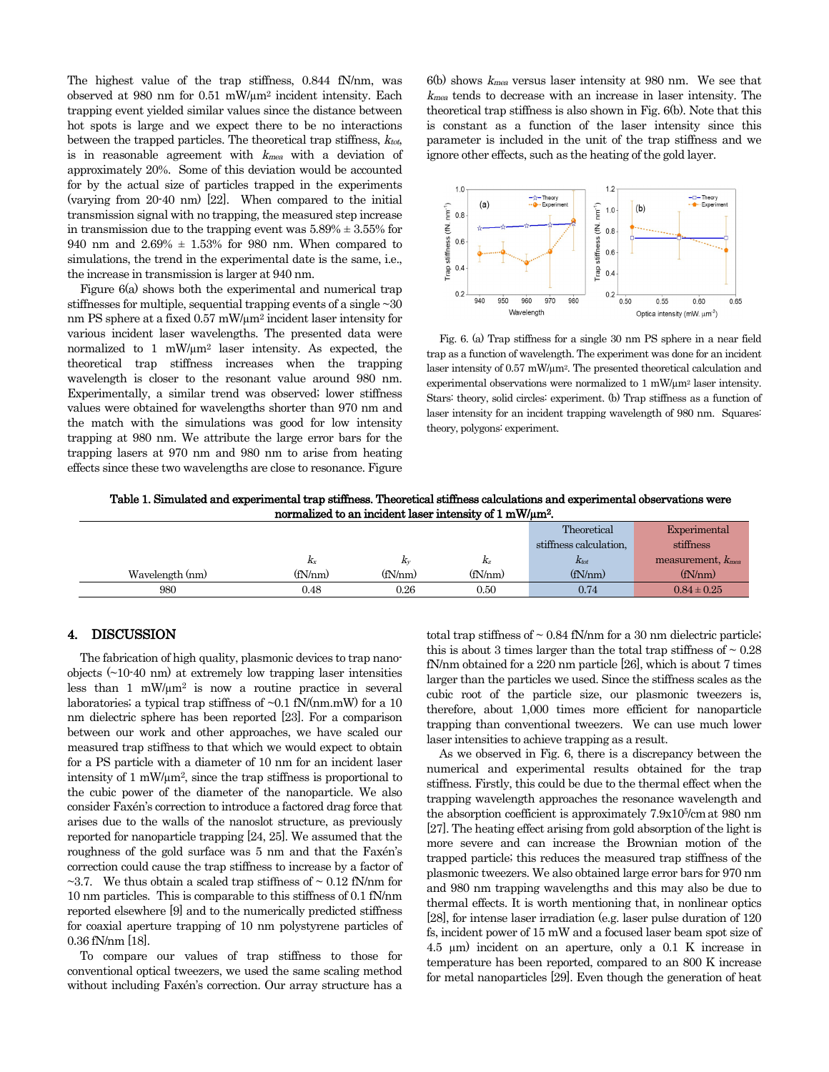The highest value of the trap stiffness, 0.844 fN/nm, was observed at 980 nm for 0.51 mW/µm2 incident intensity. Each trapping event yielded similar values since the distance between hot spots is large and we expect there to be no interactions between the trapped particles. The theoretical trap stiffness,  $k_{tot}$ , is in reasonable agreement with  $k_{mea}$  with a deviation of approximately 20%. Some of this deviation would be accounted for by the actual size of particles trapped in the experiments (varying from 20-40 nm) [22]. When compared to the initial transmission signal with no trapping, the measured step increase in transmission due to the trapping event was  $5.89\% \pm 3.55\%$  for 940 nm and 2.69% ± 1.53% for 980 nm. When compared to simulations, the trend in the experimental date is the same, i.e., the increase in transmission is larger at 940 nm.

Figure 6(a) shows both the experimental and numerical trap stiffnesses for multiple, sequential trapping events of a single  $\sim 30$ nm PS sphere at a fixed 0.57 mW/µm2 incident laser intensity for various incident laser wavelengths. The presented data were normalized to 1 mW/µm2 laser intensity. As expected, the theoretical trap stiffness increases when the trapping wavelength is closer to the resonant value around 980 nm. Experimentally, a similar trend was observed; lower stiffness values were obtained for wavelengths shorter than 970 nm and the match with the simulations was good for low intensity trapping at 980 nm. We attribute the large error bars for the trapping lasers at 970 nm and 980 nm to arise from heating effects since these two wavelengths are close to resonance. Figure  $6(b)$  shows  $k_{mea}$  versus laser intensity at 980 nm. We see that  $k_{mea}$  tends to decrease with an increase in laser intensity. The theoretical trap stiffness is also shown in Fig. 6(b). Note that this is constant as a function of the laser intensity since this parameter is included in the unit of the trap stiffness and we ignore other effects, such as the heating of the gold layer.



Fig. 6. (a) Trap stiffness for a single 30 nm PS sphere in a near field trap as a function of wavelength. The experiment was done for an incident laser intensity of 0.57 mW/µm2. The presented theoretical calculation and experimental observations were normalized to 1 mW/µm2 laser intensity. Stars: theory, solid circles: experiment. (b) Trap stiffness as a function of laser intensity for an incident trapping wavelength of 980 nm. Squares: theory, polygons: experiment.

| Table 1. Simulated and experimental trap stiffness. Theoretical stiffness calculations and experimental observations were |
|---------------------------------------------------------------------------------------------------------------------------|
| normalized to an incident laser intensity of 1 mW/um <sup>2</sup> .                                                       |

|                 |         |          |          | Theoretical            | Experimental                        |
|-----------------|---------|----------|----------|------------------------|-------------------------------------|
|                 |         |          |          | stiffness calculation. | stiffness                           |
|                 | $K_X$   | $K_V$    | $K_{Z}$  | $K_{tot}$              | measurement, <i>k<sub>mea</sub></i> |
| Wavelength (nm) | (fN/nm) | (fN/nm)  | (fN/nm)  | (fN/nm)                | (fN/nm)                             |
| 980             | 0.48    | ${0.26}$ | $0.50\,$ | 0.74                   | $0.84 \pm 0.25$                     |

### 4. DISCUSSION

The fabrication of high quality, plasmonic devices to trap nanoobjects (~10-40 nm) at extremely low trapping laser intensities less than  $1 \, \text{mW/m}^2$  is now a routine practice in several laboratories; a typical trap stiffness of  $\sim 0.1$  fN/(nm.mW) for a 10 nm dielectric sphere has been reported [23]. For a comparison between our work and other approaches, we have scaled our measured trap stiffness to that which we would expect to obtain for a PS particle with a diameter of 10 nm for an incident laser intensity of 1 mW/ $\mu$ m<sup>2</sup>, since the trap stiffness is proportional to the cubic power of the diameter of the nanoparticle. We also consider Faxén's correction to introduce a factored drag force that arises due to the walls of the nanoslot structure, as previously reported for nanoparticle trapping [24, 25]. We assumed that the roughness of the gold surface was 5 nm and that the Faxén's correction could cause the trap stiffness to increase by a factor of  $\sim$ 3.7. We thus obtain a scaled trap stiffness of  $\sim$  0.12 fN/nm for 10 nm particles. This is comparable to this stiffness of 0.1 fN/nm reported elsewhere [9] and to the numerically predicted stiffness for coaxial aperture trapping of 10 nm polystyrene particles of 0.36 fN/nm [18].

To compare our values of trap stiffness to those for conventional optical tweezers, we used the same scaling method without including Faxén's correction. Our array structure has a total trap stiffness of  $\sim 0.84$  fN/nm for a 30 nm dielectric particle; this is about 3 times larger than the total trap stiffness of  $\sim 0.28$ fN/nm obtained for a 220 nm particle [26], which is about 7 times larger than the particles we used. Since the stiffness scales as the cubic root of the particle size, our plasmonic tweezers is, therefore, about 1,000 times more efficient for nanoparticle trapping than conventional tweezers. We can use much lower laser intensities to achieve trapping as a result.

As we observed in Fig. 6, there is a discrepancy between the numerical and experimental results obtained for the trap stiffness. Firstly, this could be due to the thermal effect when the trapping wavelength approaches the resonance wavelength and the absorption coefficient is approximately 7.9x105/cmat 980 nm [27]. The heating effect arising from gold absorption of the light is more severe and can increase the Brownian motion of the trapped particle; this reduces the measured trap stiffness of the plasmonic tweezers. We also obtained large error bars for 970 nm and 980 nm trapping wavelengths and this may also be due to thermal effects. It is worth mentioning that, in nonlinear optics [28], for intense laser irradiation (e.g. laser pulse duration of 120 fs, incident power of 15 mW and a focused laser beam spot size of 4.5 µm) incident on an aperture, only a 0.1 K increase in temperature has been reported, compared to an 800 K increase for metal nanoparticles [29]. Even though the generation of heat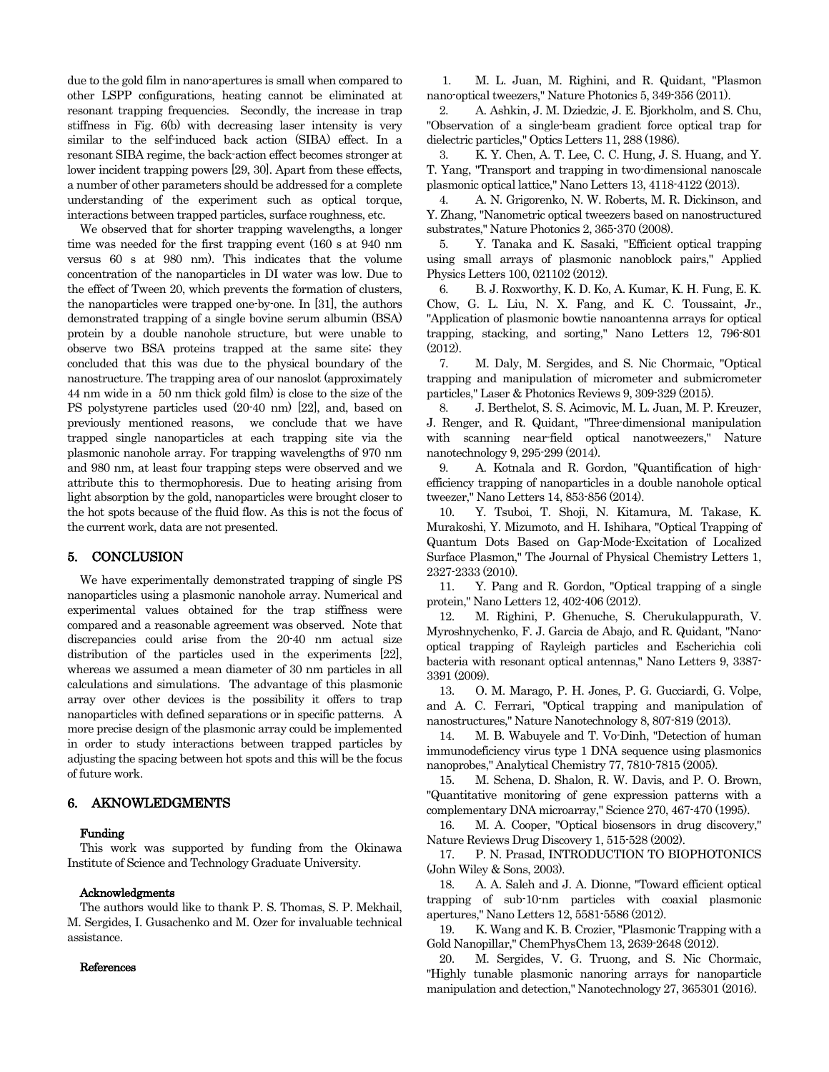due to the gold film in nano-apertures is small when compared to other LSPP configurations, heating cannot be eliminated at resonant trapping frequencies. Secondly, the increase in trap stiffness in Fig. 6(b) with decreasing laser intensity is very similar to the self-induced back action (SIBA) effect. In a resonant SIBA regime, the back-action effect becomes stronger at lower incident trapping powers [29, 30]. Apart from these effects, a number of other parameters should be addressed for a complete understanding of the experiment such as optical torque, interactions between trapped particles, surface roughness, etc.

We observed that for shorter trapping wavelengths, a longer time was needed for the first trapping event (160 s at 940 nm versus 60 s at 980 nm). This indicates that the volume concentration of the nanoparticles in DI water was low. Due to the effect of Tween 20, which prevents the formation of clusters, the nanoparticles were trapped one-by-one. In [31], the authors demonstrated trapping of a single bovine serum albumin (BSA) protein by a double nanohole structure, but were unable to observe two BSA proteins trapped at the same site; they concluded that this was due to the physical boundary of the nanostructure. The trapping area of our nanoslot (approximately 44 nm wide in a 50 nm thick gold film) is close to the size of the PS polystyrene particles used (20-40 nm) [22], and, based on previously mentioned reasons, we conclude that we have trapped single nanoparticles at each trapping site via the plasmonic nanohole array. For trapping wavelengths of 970 nm and 980 nm, at least four trapping steps were observed and we attribute this to thermophoresis. Due to heating arising from light absorption by the gold, nanoparticles were brought closer to the hot spots because of the fluid flow. As this is not the focus of the current work, data are not presented.

#### 5. CONCLUSION

We have experimentally demonstrated trapping of single PS nanoparticles using a plasmonic nanohole array. Numerical and experimental values obtained for the trap stiffness were compared and a reasonable agreement was observed. Note that discrepancies could arise from the 20-40 nm actual size distribution of the particles used in the experiments [22], whereas we assumed a mean diameter of 30 nm particles in all calculations and simulations. The advantage of this plasmonic array over other devices is the possibility it offers to trap nanoparticles with defined separations or in specific patterns. A more precise design of the plasmonic array could be implemented in order to study interactions between trapped particles by adjusting the spacing between hot spots and this will be the focus of future work.

## 6. AKNOWLEDGMENTS

#### Funding

This work was supported by funding from the Okinawa Institute of Science and Technology Graduate University.

#### Acknowledgments

The authors would like to thank P. S. Thomas, S. P. Mekhail, M. Sergides, I. Gusachenko and M. Ozer for invaluable technical assistance.

#### References

1. M. L. Juan, M. Righini, and R. Quidant, "Plasmon nano-optical tweezers," Nature Photonics 5, 349-356 (2011).

2. A. Ashkin, J. M. Dziedzic, J. E. Bjorkholm, and S. Chu, "Observation of a single-beam gradient force optical trap for dielectric particles," Optics Letters 11, 288 (1986).

3. K. Y. Chen, A. T. Lee, C. C. Hung, J. S. Huang, and Y. T. Yang, "Transport and trapping in two-dimensional nanoscale plasmonic optical lattice," Nano Letters 13, 4118-4122 (2013).

4. A. N. Grigorenko, N. W. Roberts, M. R. Dickinson, and Y. Zhang, "Nanometric optical tweezers based on nanostructured substrates," Nature Photonics 2, 365-370 (2008).

5. Y. Tanaka and K. Sasaki, "Efficient optical trapping using small arrays of plasmonic nanoblock pairs," Applied Physics Letters 100, 021102 (2012).

6. B. J. Roxworthy, K. D. Ko, A. Kumar, K. H. Fung, E. K. Chow, G. L. Liu, N. X. Fang, and K. C. Toussaint, Jr., "Application of plasmonic bowtie nanoantenna arrays for optical trapping, stacking, and sorting," Nano Letters 12, 796-801 (2012).

7. M. Daly, M. Sergides, and S. Nic Chormaic, "Optical trapping and manipulation of micrometer and submicrometer particles," Laser & Photonics Reviews 9, 309-329 (2015).

8. J. Berthelot, S. S. Acimovic, M. L. Juan, M. P. Kreuzer, J. Renger, and R. Quidant, "Three-dimensional manipulation with scanning near-field optical nanotweezers," Nature nanotechnology 9, 295-299 (2014).

9. A. Kotnala and R. Gordon, "Quantification of highefficiency trapping of nanoparticles in a double nanohole optical tweezer," Nano Letters 14, 853-856 (2014).

10. Y. Tsuboi, T. Shoji, N. Kitamura, M. Takase, K. Murakoshi, Y. Mizumoto, and H. Ishihara, "Optical Trapping of Quantum Dots Based on Gap-Mode-Excitation of Localized Surface Plasmon," The Journal of Physical Chemistry Letters 1, 2327-2333 (2010).

11. Y. Pang and R. Gordon, "Optical trapping of a single protein," Nano Letters 12, 402-406 (2012).

12. M. Righini, P. Ghenuche, S. Cherukulappurath, V. Myroshnychenko, F. J. Garcia de Abajo, and R. Quidant, "Nanooptical trapping of Rayleigh particles and Escherichia coli bacteria with resonant optical antennas," Nano Letters 9, 3387- 3391 (2009).

13. O. M. Marago, P. H. Jones, P. G. Gucciardi, G. Volpe, and A. C. Ferrari, "Optical trapping and manipulation of nanostructures," Nature Nanotechnology 8, 807-819 (2013).

14. M. B. Wabuyele and T. Vo-Dinh, "Detection of human immunodeficiency virus type 1 DNA sequence using plasmonics nanoprobes," Analytical Chemistry 77, 7810-7815 (2005).

15. M. Schena, D. Shalon, R. W. Davis, and P. O. Brown, "Quantitative monitoring of gene expression patterns with a complementary DNA microarray," Science 270, 467-470 (1995).

16. M. A. Cooper, "Optical biosensors in drug discovery," Nature Reviews Drug Discovery 1, 515-528 (2002).

17. P. N. Prasad, INTRODUCTION TO BIOPHOTONICS (John Wiley & Sons, 2003).

18. A. A. Saleh and J. A. Dionne, "Toward efficient optical trapping of sub-10-nm particles with coaxial plasmonic apertures," Nano Letters 12, 5581-5586 (2012).

19. K. Wang and K. B. Crozier, "Plasmonic Trapping with a Gold Nanopillar," ChemPhysChem 13, 2639-2648 (2012).

20. M. Sergides, V. G. Truong, and S. Nic Chormaic, "Highly tunable plasmonic nanoring arrays for nanoparticle manipulation and detection," Nanotechnology 27, 365301 (2016).